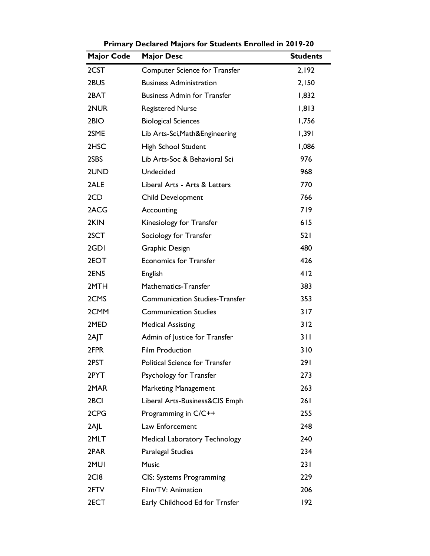| <b>Major Code</b> | <b>Major Desc</b>                     | <b>Students</b> |
|-------------------|---------------------------------------|-----------------|
| 2CST              | Computer Science for Transfer         | 2,192           |
| 2BUS              | <b>Business Administration</b>        | 2,150           |
| 2BAT              | <b>Business Admin for Transfer</b>    | 1,832           |
| 2NUR              | <b>Registered Nurse</b>               | 1,813           |
| 2BIO              | <b>Biological Sciences</b>            | 1,756           |
| 2SME              | Lib Arts-Sci, Math&Engineering        | 1,391           |
| 2HSC              | High School Student                   | 1,086           |
| 2SBS              | Lib Arts-Soc & Behavioral Sci         | 976             |
| 2UND              | Undecided                             | 968             |
| 2ALE              | Liberal Arts - Arts & Letters         | 770             |
| 2CD               | Child Development                     | 766             |
| 2ACG              | Accounting                            | 719             |
| 2KIN              | Kinesiology for Transfer              | 615             |
| 2SCT              | Sociology for Transfer                | 521             |
| 2GDI              | Graphic Design                        | 480             |
| 2EOT              | <b>Economics for Transfer</b>         | 426             |
| 2EN5              | English                               | 412             |
| 2MTH              | Mathematics-Transfer                  | 383             |
| 2CMS              | <b>Communication Studies-Transfer</b> | 353             |
| 2CMM              | <b>Communication Studies</b>          | 317             |
| 2MED              | <b>Medical Assisting</b>              | 312             |
| 2AJT              | Admin of Justice for Transfer         | 311             |
| 2FPR              | <b>Film Production</b>                | 310             |
| 2PST              | Political Science for Transfer        | 291             |
| 2PYT              | Psychology for Transfer               | 273             |
| 2MAR              | <b>Marketing Management</b>           | 263             |
| 2 <sub>BCI</sub>  | Liberal Arts-Business&CIS Emph        | 261             |
| 2CPG              | Programming in C/C++                  | 255             |
| 2A L              | Law Enforcement                       | 248             |
| 2MLT              | <b>Medical Laboratory Technology</b>  | 240             |
| 2PAR              | Paralegal Studies                     | 234             |
| 2MUI              | <b>Music</b>                          | 231             |
| 2C <sub>I</sub> 8 | CIS: Systems Programming              | 229             |
| 2FTV              | Film/TV: Animation                    | 206             |
| 2ECT              | Early Childhood Ed for Trnsfer        | 192             |

**Primary Declared Majors for Students Enrolled in 2019-20**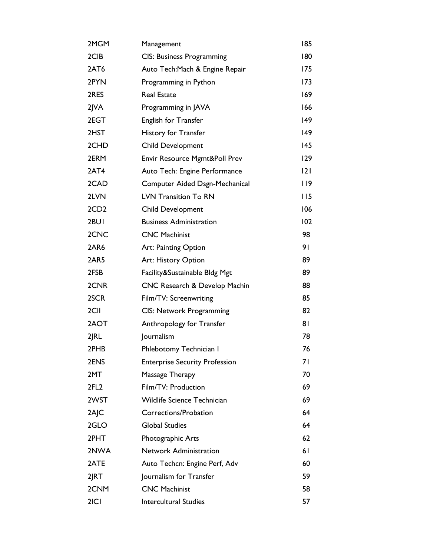| 2MGM             | Management                            | 185 |
|------------------|---------------------------------------|-----|
| 2CIB             | <b>CIS: Business Programming</b>      | 180 |
| 2AT6             | Auto Tech: Mach & Engine Repair       | 175 |
| 2PYN             | Programming in Python                 | 173 |
| 2RES             | <b>Real Estate</b>                    | 169 |
| $2$ $\sqrt{A}$   | Programming in JAVA                   | 166 |
| 2EGT             | English for Transfer                  | 149 |
| 2HST             | History for Transfer                  | 149 |
| 2CHD             | <b>Child Development</b>              | 145 |
| 2ERM             | Envir Resource Mgmt&Poll Prev         | 129 |
| 2AT4             | Auto Tech: Engine Performance         | 2   |
| 2CAD             | Computer Aided Dsgn-Mechanical        | 119 |
| 2LVN             | <b>LVN Transition To RN</b>           | 115 |
| 2CD <sub>2</sub> | <b>Child Development</b>              | 106 |
| 2BUI             | <b>Business Administration</b>        | 102 |
| 2CNC             | <b>CNC Machinist</b>                  | 98  |
| 2AR6             | Art: Painting Option                  | 91  |
| 2AR5             | Art: History Option                   | 89  |
| 2FSB             | Facility&Sustainable Bldg Mgt         | 89  |
| 2CNR             | CNC Research & Develop Machin         | 88  |
| 2SCR             | Film/TV: Screenwriting                | 85  |
| 2CII             | CIS: Network Programming              | 82  |
| 2AOT             | Anthropology for Transfer             | 81  |
| 2 RL             | Journalism                            | 78  |
| 2PHB             | Phlebotomy Technician I               | 76  |
| 2ENS             | <b>Enterprise Security Profession</b> | 71  |
| 2MT              | Massage Therapy                       | 70  |
| 2FL <sub>2</sub> | Film/TV: Production                   | 69  |
| 2WST             | <b>Wildlife Science Technician</b>    | 69  |
| 2AJC             | Corrections/Probation                 | 64  |
| 2GLO             | <b>Global Studies</b>                 | 64  |
| 2PHT             | Photographic Arts                     | 62  |
| 2NWA             | <b>Network Administration</b>         | 61  |
| 2ATE             | Auto Techcn: Engine Perf, Adv         | 60  |
| 2JRT             | Journalism for Transfer               | 59  |
| 2CNM             | <b>CNC Machinist</b>                  | 58  |
| 2 C              | <b>Intercultural Studies</b>          | 57  |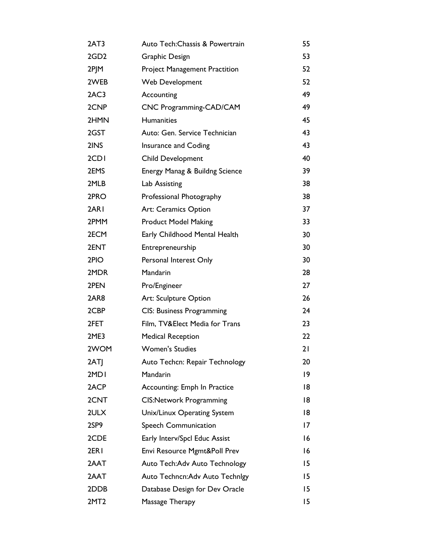| 2AT3             | Auto Tech: Chassis & Powertrain      | 55 |
|------------------|--------------------------------------|----|
| 2GD <sub>2</sub> | Graphic Design                       | 53 |
| 2PJM             | <b>Project Management Practition</b> | 52 |
| 2WEB             | Web Development                      | 52 |
| 2AC3             | Accounting                           | 49 |
| 2CNP             | CNC Programming-CAD/CAM              | 49 |
| 2HMN             | Humanities                           | 45 |
| 2GST             | Auto: Gen. Service Technician        | 43 |
| 2INS             | Insurance and Coding                 | 43 |
| 2CD <sub>I</sub> | Child Development                    | 40 |
| 2EMS             | Energy Manag & Buildng Science       | 39 |
| 2MLB             | Lab Assisting                        | 38 |
| 2PRO             | Professional Photography             | 38 |
| 2ARI             | Art: Ceramics Option                 | 37 |
| 2PMM             | <b>Product Model Making</b>          | 33 |
| 2ECM             | Early Childhood Mental Health        | 30 |
| 2ENT             | Entrepreneurship                     | 30 |
| 2PIO             | Personal Interest Only               | 30 |
| 2MDR             | Mandarin                             | 28 |
| 2PEN             | Pro/Engineer                         | 27 |
| 2AR8             | Art: Sculpture Option                | 26 |
| 2CBP             | <b>CIS: Business Programming</b>     | 24 |
| 2FET             | Film, TV&Elect Media for Trans       | 23 |
| 2ME3             | <b>Medical Reception</b>             | 22 |
| 2WOM             | <b>Women's Studies</b>               | 21 |
| 2ATJ             | Auto Techcn: Repair Technology       | 20 |
| 2MD <sub>I</sub> | <b>Mandarin</b>                      | 9  |
| 2ACP             | Accounting: Emph In Practice         | 18 |
| 2CNT             | <b>CIS:Network Programming</b>       | 18 |
| 2ULX             | Unix/Linux Operating System          | 18 |
| 2SP9             | Speech Communication                 | 17 |
| 2CDE             | Early Interv/Spcl Educ Assist        | 16 |
| 2ER <sub>I</sub> | Envi Resource Mgmt&Poll Prev         | 16 |
| 2AAT             | Auto Tech: Adv Auto Technology       | 15 |
| 2AAT             | Auto Techncn: Adv Auto Technigy      | 15 |
| 2DDB             | Database Design for Dev Oracle       | 15 |
| 2MT <sub>2</sub> | Massage Therapy                      | 15 |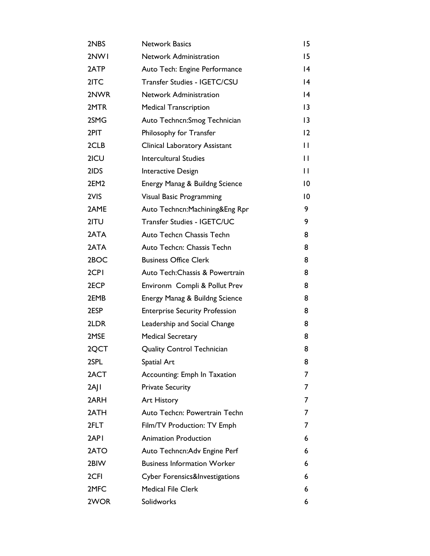| 2NBS     | <b>Network Basics</b>                 | 15              |
|----------|---------------------------------------|-----------------|
| 2NW1     | <b>Network Administration</b>         | 15              |
| 2ATP     | Auto Tech: Engine Performance         | $\overline{14}$ |
| 2ITC     | Transfer Studies - IGETC/CSU          | $\overline{14}$ |
| 2NWR     | <b>Network Administration</b>         | $\overline{14}$ |
| 2MTR     | <b>Medical Transcription</b>          | 3               |
| 2SMG     | Auto Techncn: Smog Technician         | $\overline{13}$ |
| 2PIT     | Philosophy for Transfer               | 12              |
| 2CLB     | Clinical Laboratory Assistant         | $\mathsf{L}$    |
| 2ICU     | <b>Intercultural Studies</b>          | П               |
| 2IDS     | Interactive Design                    | $\mathbf{H}$    |
| 2EM2     | Energy Manag & Buildng Science        | $\overline{10}$ |
| 2VIS     | <b>Visual Basic Programming</b>       | 10              |
| 2AME     | Auto Techncn: Machining& Eng Rpr      | 9               |
| 2ITU     | Transfer Studies - IGETC/UC           | 9               |
| 2ATA     | Auto Techcn Chassis Techn             | 8               |
| 2ATA     | Auto Techcn: Chassis Techn            | 8               |
| 2BOC     | <b>Business Office Clerk</b>          | 8               |
| 2CPI     | Auto Tech: Chassis & Powertrain       | 8               |
| 2ECP     | Environm Compli & Pollut Prev         | 8               |
| 2EMB     | Energy Manag & Buildng Science        | 8               |
| 2ESP     | <b>Enterprise Security Profession</b> | 8               |
| 2LDR     | Leadership and Social Change          | 8               |
| 2MSE     | <b>Medical Secretary</b>              | 8               |
| 2QCT     | <b>Quality Control Technician</b>     | 8               |
| 2SPL     | Spatial Art                           | 8               |
| 2ACT     | Accounting: Emph In Taxation          | 7               |
| $2A$   I | <b>Private Security</b>               | 7               |
| 2ARH     | Art History                           | 7               |
| 2ATH     | Auto Techcn: Powertrain Techn         | 7               |
| 2FLT     | Film/TV Production: TV Emph           | 7               |
| 2API     | <b>Animation Production</b>           | 6               |
| 2ATO     | Auto Techncn: Adv Engine Perf         | 6               |
| 2BIW     | <b>Business Information Worker</b>    | 6               |
| 2CFI     | Cyber Forensics&Investigations        | 6               |
| 2MFC     | <b>Medical File Clerk</b>             | 6               |
| 2WOR     | Solidworks                            | 6               |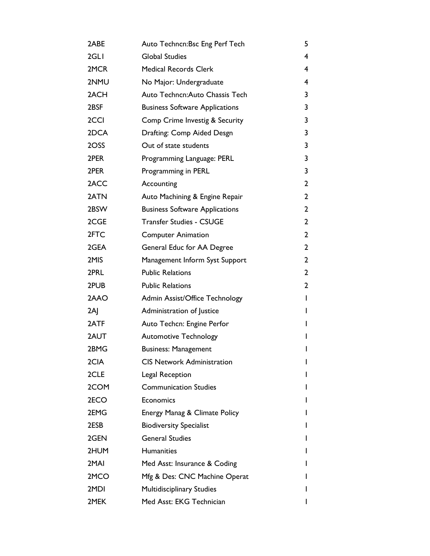| 2ABE | Auto Techncn: Bsc Eng Perf Tech       | 5            |
|------|---------------------------------------|--------------|
| 2GLI | <b>Global Studies</b>                 | 4            |
| 2MCR | <b>Medical Records Clerk</b>          | 4            |
| 2NMU | No Major: Undergraduate               | 4            |
| 2ACH | Auto Techncn: Auto Chassis Tech       | 3            |
| 2BSF | <b>Business Software Applications</b> | 3            |
| 2CCI | Comp Crime Investig & Security        | 3            |
| 2DCA | Drafting: Comp Aided Desgn            | 3            |
| 2OSS | Out of state students                 | 3            |
| 2PER | Programming Language: PERL            | 3            |
| 2PER | Programming in PERL                   | 3            |
| 2ACC | Accounting                            | 2            |
| 2ATN | Auto Machining & Engine Repair        | $\mathbf{2}$ |
| 2BSW | <b>Business Software Applications</b> | $\mathbf{2}$ |
| 2CGE | <b>Transfer Studies - CSUGE</b>       | $\mathbf{2}$ |
| 2FTC | <b>Computer Animation</b>             | $\mathbf{2}$ |
| 2GEA | General Educ for AA Degree            | $\mathbf{2}$ |
| 2MIS | Management Inform Syst Support        | $\mathbf{2}$ |
| 2PRL | <b>Public Relations</b>               | $\mathbf{2}$ |
| 2PUB | <b>Public Relations</b>               | 2            |
| 2AAO | Admin Assist/Office Technology        | $\mathbf{I}$ |
| 2AI  | Administration of Justice             | I            |
| 2ATF | Auto Techcn: Engine Perfor            | I            |
| 2AUT | <b>Automotive Technology</b>          | I            |
| 2BMG | <b>Business: Management</b>           | I            |
| 2CIA | <b>CIS Network Administration</b>     | I            |
| 2CLE | Legal Reception                       |              |
| 2COM | <b>Communication Studies</b>          |              |
| 2ECO | Economics                             |              |
| 2EMG | Energy Manag & Climate Policy         |              |
| 2ESB | <b>Biodiversity Specialist</b>        |              |
| 2GEN | <b>General Studies</b>                |              |
| 2HUM | <b>Humanities</b>                     |              |
| 2MAI | Med Asst: Insurance & Coding          |              |
| 2MCO | Mfg & Des: CNC Machine Operat         |              |
| 2MDI | <b>Multidisciplinary Studies</b>      |              |
| 2MEK | Med Asst: EKG Technician              |              |